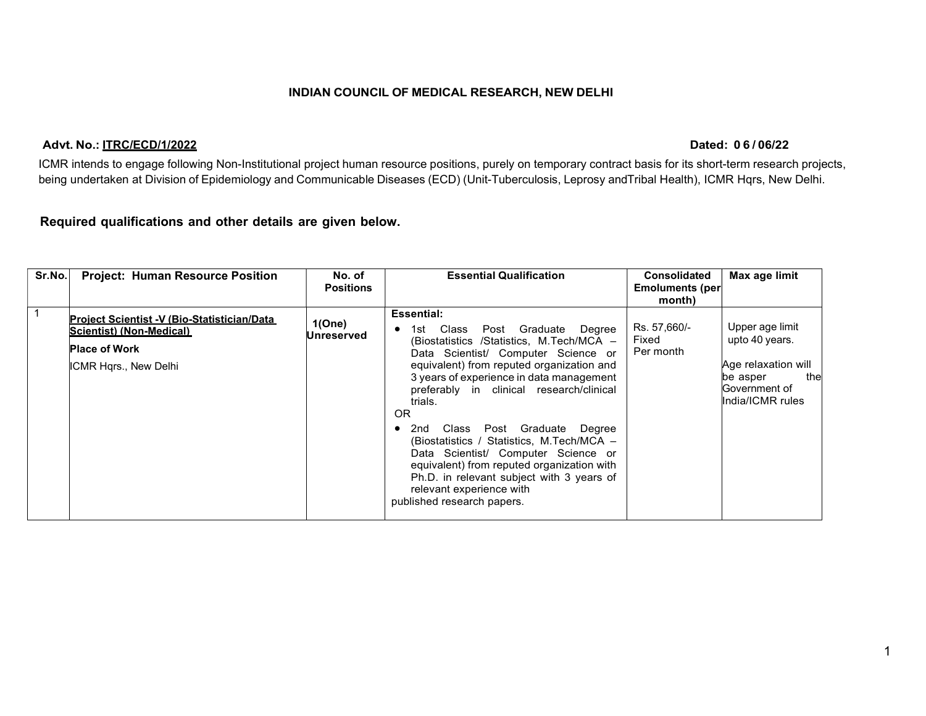### INDIAN COUNCIL OF MEDICAL RESEARCH, NEW DELHI

**INDIAN COUNCIL OF MEDICAL RESEARCH, NEW DELHI<br>
Advt. No.: ITRC/ECD/1/2022<br>
ICMR intends to engage following Non-Institutional project human resource positions, purely on temporary contract basis for its short-term researc** ICMR intends to engage following Non-Institutional project human resource positions, purely on temporary contract basis for its short-term research projects, being undertaken at Division of Epidemiology and Communicable Diseases (ECD) (Unit-Tuberculosis, Leprosy and Tribal Health), ICMR Hqrs, New Delhi.

# Required qualifications and other details are given below.

| <b>Essential:</b><br><b>Project Scientist -V (Bio-Statistician/Data)</b><br>1(One)<br>Upper age limit<br>Rs. 57,660/-<br>Class<br>Post Graduate Degree<br>1st.<br>$\bullet$<br>Scientist) (Non-Medical)<br>Unreserved<br>upto 40 years.<br>Fixed<br>(Biostatistics /Statistics, M.Tech/MCA -<br><b>Place of Work</b><br>Per month<br>Data Scientist/ Computer Science or<br>Age relaxation will<br>equivalent) from reputed organization and<br>ICMR Hqrs., New Delhi<br>3 years of experience in data management<br>thel<br>be asper<br>Government of<br>preferably in clinical research/clinical<br>India/ICMR rules<br>trials.<br><b>OR</b><br>Class Post Graduate Degree<br>2nd<br>$\bullet$<br>(Biostatistics / Statistics, M.Tech/MCA -<br>Data Scientist/ Computer Science or<br>equivalent) from reputed organization with<br>Ph.D. in relevant subject with 3 years of<br>relevant experience with<br>published research papers. | Sr.No. | <b>Project: Human Resource Position</b> | No. of<br><b>Positions</b> | <b>Essential Qualification</b> | <b>Consolidated</b><br><b>Emoluments (per</b><br>month) | Max age limit |  |
|-------------------------------------------------------------------------------------------------------------------------------------------------------------------------------------------------------------------------------------------------------------------------------------------------------------------------------------------------------------------------------------------------------------------------------------------------------------------------------------------------------------------------------------------------------------------------------------------------------------------------------------------------------------------------------------------------------------------------------------------------------------------------------------------------------------------------------------------------------------------------------------------------------------------------------------------|--------|-----------------------------------------|----------------------------|--------------------------------|---------------------------------------------------------|---------------|--|
|                                                                                                                                                                                                                                                                                                                                                                                                                                                                                                                                                                                                                                                                                                                                                                                                                                                                                                                                           |        |                                         |                            |                                |                                                         |               |  |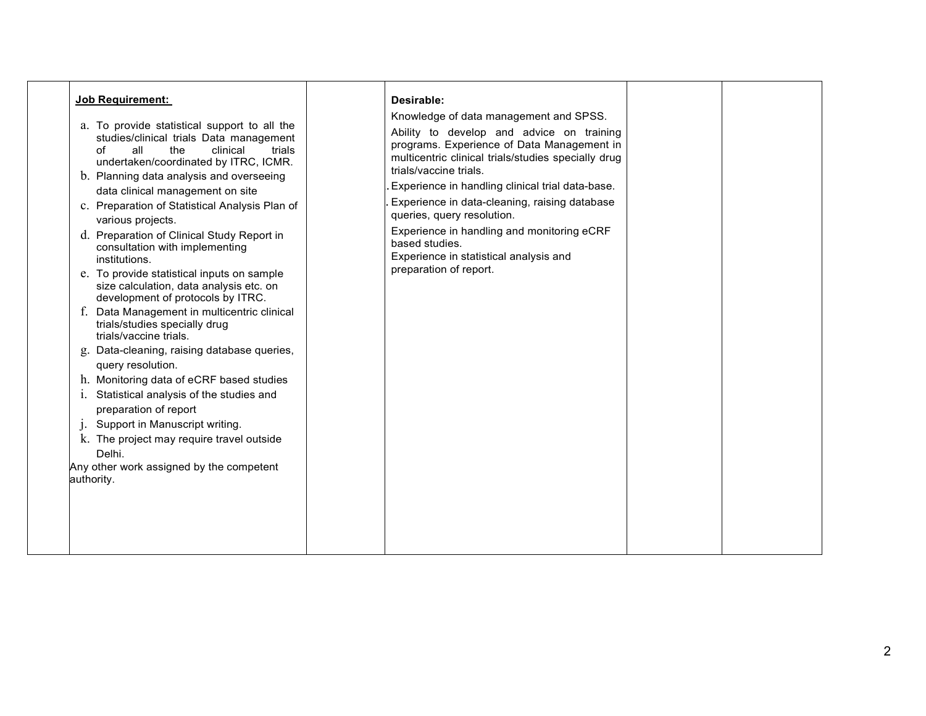| <b>Job Requirement:</b>                                                                                                                                                                                                                                                                                                                                                                                                                                                                                                                                                                                                                                                                                                                                                                                                                                                                                                                                                                                                        | Desirable:                                                                                                                                                                                                                                                                                                                                                                                                                                                                                |  |
|--------------------------------------------------------------------------------------------------------------------------------------------------------------------------------------------------------------------------------------------------------------------------------------------------------------------------------------------------------------------------------------------------------------------------------------------------------------------------------------------------------------------------------------------------------------------------------------------------------------------------------------------------------------------------------------------------------------------------------------------------------------------------------------------------------------------------------------------------------------------------------------------------------------------------------------------------------------------------------------------------------------------------------|-------------------------------------------------------------------------------------------------------------------------------------------------------------------------------------------------------------------------------------------------------------------------------------------------------------------------------------------------------------------------------------------------------------------------------------------------------------------------------------------|--|
| a. To provide statistical support to all the<br>studies/clinical trials Data management<br>all<br>$\circ$ f<br>the<br>clinical<br>trials<br>undertaken/coordinated by ITRC, ICMR.<br>b. Planning data analysis and overseeing<br>data clinical management on site<br>c. Preparation of Statistical Analysis Plan of<br>various projects.<br>d. Preparation of Clinical Study Report in<br>consultation with implementing<br>institutions.<br>e. To provide statistical inputs on sample<br>size calculation, data analysis etc. on<br>development of protocols by ITRC.<br>f. Data Management in multicentric clinical<br>trials/studies specially drug<br>trials/vaccine trials.<br>g. Data-cleaning, raising database queries,<br>query resolution.<br>h. Monitoring data of eCRF based studies<br>Statistical analysis of the studies and<br>1.<br>preparation of report<br>Support in Manuscript writing.<br>k. The project may require travel outside<br>Delhi.<br>Any other work assigned by the competent<br>authority. | Knowledge of data management and SPSS.<br>Ability to develop and advice on training<br>programs. Experience of Data Management in<br>multicentric clinical trials/studies specially drug<br>trials/vaccine trials.<br>Experience in handling clinical trial data-base.<br>Experience in data-cleaning, raising database<br>queries, query resolution.<br>Experience in handling and monitoring eCRF<br>based studies.<br>Experience in statistical analysis and<br>preparation of report. |  |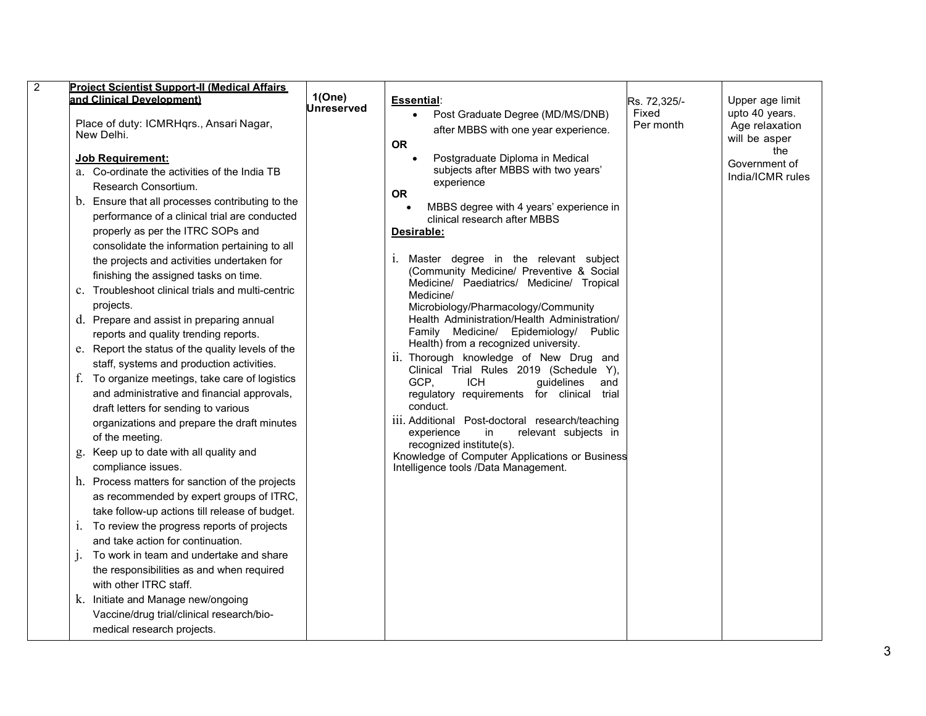| and Clinical Development)<br>Place of duty: ICMRHqrs., Ansari Nagar,<br>New Delhi.<br>Job Requirement:<br>a. Co-ordinate the activities of the India TB<br>Research Consortium.<br>b. Ensure that all processes contributing to the<br>performance of a clinical trial are conducted<br>properly as per the ITRC SOPs and<br>consolidate the information pertaining to all                                                                                                                                                                                                                                                                                                                                                                                                                                                                                                                                                                                                                                                                                                                                           | 1(One)<br>Jnreserved | Essential:<br>Post Graduate Degree (MD/MS/DNB)<br>after MBBS with one year experience.<br><b>OR</b><br>Postgraduate Diploma in Medical<br>$\bullet$<br>subjects after MBBS with two years'<br>experience<br><b>OR</b><br>MBBS degree with 4 years' experience in<br>clinical research after MBBS<br>Desirable:<br>Master degree in the relevant subject<br>1.                                                                                                                                                                                                                                                                                                                                 | Rs. 72,325/-<br>Fixed<br>Per month | Upper age limit<br>upto 40 years.<br>Age relaxation<br>will be asper<br>the<br>Government of<br>India/ICMR rules |  |
|----------------------------------------------------------------------------------------------------------------------------------------------------------------------------------------------------------------------------------------------------------------------------------------------------------------------------------------------------------------------------------------------------------------------------------------------------------------------------------------------------------------------------------------------------------------------------------------------------------------------------------------------------------------------------------------------------------------------------------------------------------------------------------------------------------------------------------------------------------------------------------------------------------------------------------------------------------------------------------------------------------------------------------------------------------------------------------------------------------------------|----------------------|-----------------------------------------------------------------------------------------------------------------------------------------------------------------------------------------------------------------------------------------------------------------------------------------------------------------------------------------------------------------------------------------------------------------------------------------------------------------------------------------------------------------------------------------------------------------------------------------------------------------------------------------------------------------------------------------------|------------------------------------|------------------------------------------------------------------------------------------------------------------|--|
| the projects and activities undertaken for<br>finishing the assigned tasks on time.<br>c. Troubleshoot clinical trials and multi-centric<br>projects.<br>d. Prepare and assist in preparing annual<br>reports and quality trending reports.<br>e. Report the status of the quality levels of the<br>staff, systems and production activities.<br>f. To organize meetings, take care of logistics<br>and administrative and financial approvals,<br>draft letters for sending to various<br>organizations and prepare the draft minutes<br>of the meeting.<br>g. Keep up to date with all quality and<br>compliance issues.<br>h. Process matters for sanction of the projects<br>as recommended by expert groups of ITRC,<br>take follow-up actions till release of budget.<br>i. To review the progress reports of projects<br>and take action for continuation.<br>To work in team and undertake and share<br>$\mathbf{1}$<br>the responsibilities as and when required<br>with other ITRC staff.<br>k. Initiate and Manage new/ongoing<br>Vaccine/drug trial/clinical research/bio-<br>medical research projects. |                      | (Community Medicine/ Preventive & Social<br>Medicine/ Paediatrics/ Medicine/ Tropical<br>Medicine/<br>Microbiology/Pharmacology/Community<br>Health Administration/Health Administration/<br>Family Medicine/ Epidemiology/<br>Public<br>Health) from a recognized university.<br>ii. Thorough knowledge of New Drug and<br>Clinical Trial Rules 2019 (Schedule Y),<br>GCP,<br><b>ICH</b><br>guidelines<br>and<br>regulatory requirements for clinical trial<br>conduct.<br>iii. Additional Post-doctoral research/teaching<br>relevant subjects in<br>experience<br>in<br>recognized institute(s).<br>Knowledge of Computer Applications or Business<br>Intelligence tools /Data Management. |                                    |                                                                                                                  |  |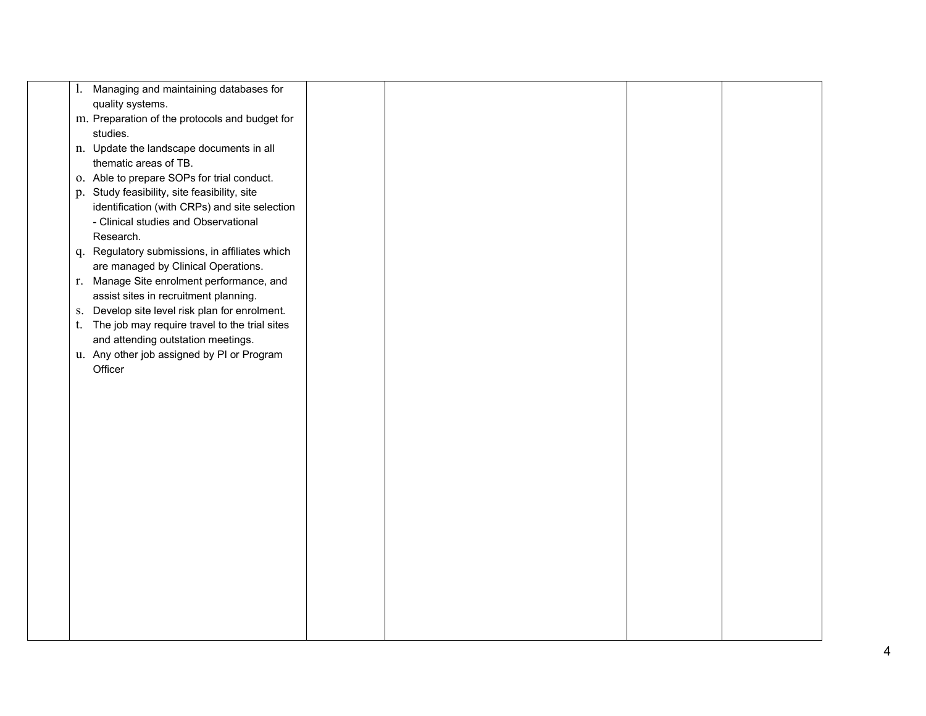|    | 1. Managing and maintaining databases for             |  |  |
|----|-------------------------------------------------------|--|--|
|    | quality systems.                                      |  |  |
|    | m. Preparation of the protocols and budget for        |  |  |
|    | studies.                                              |  |  |
|    | n. Update the landscape documents in all              |  |  |
|    | thematic areas of TB.                                 |  |  |
|    | o. Able to prepare SOPs for trial conduct.            |  |  |
|    | p. Study feasibility, site feasibility, site          |  |  |
|    | identification (with CRPs) and site selection         |  |  |
|    | - Clinical studies and Observational                  |  |  |
|    | Research.                                             |  |  |
|    | q. Regulatory submissions, in affiliates which        |  |  |
|    | are managed by Clinical Operations.                   |  |  |
|    | r. Manage Site enrolment performance, and             |  |  |
|    | assist sites in recruitment planning.                 |  |  |
| S. | Develop site level risk plan for enrolment.           |  |  |
| t. | The job may require travel to the trial sites         |  |  |
|    | and attending outstation meetings.                    |  |  |
|    | u. Any other job assigned by PI or Program<br>Officer |  |  |
|    |                                                       |  |  |
|    |                                                       |  |  |
|    |                                                       |  |  |
|    |                                                       |  |  |
|    |                                                       |  |  |
|    |                                                       |  |  |
|    |                                                       |  |  |
|    |                                                       |  |  |
|    |                                                       |  |  |
|    |                                                       |  |  |
|    |                                                       |  |  |
|    |                                                       |  |  |
|    |                                                       |  |  |
|    |                                                       |  |  |
|    |                                                       |  |  |
|    |                                                       |  |  |
|    |                                                       |  |  |
|    |                                                       |  |  |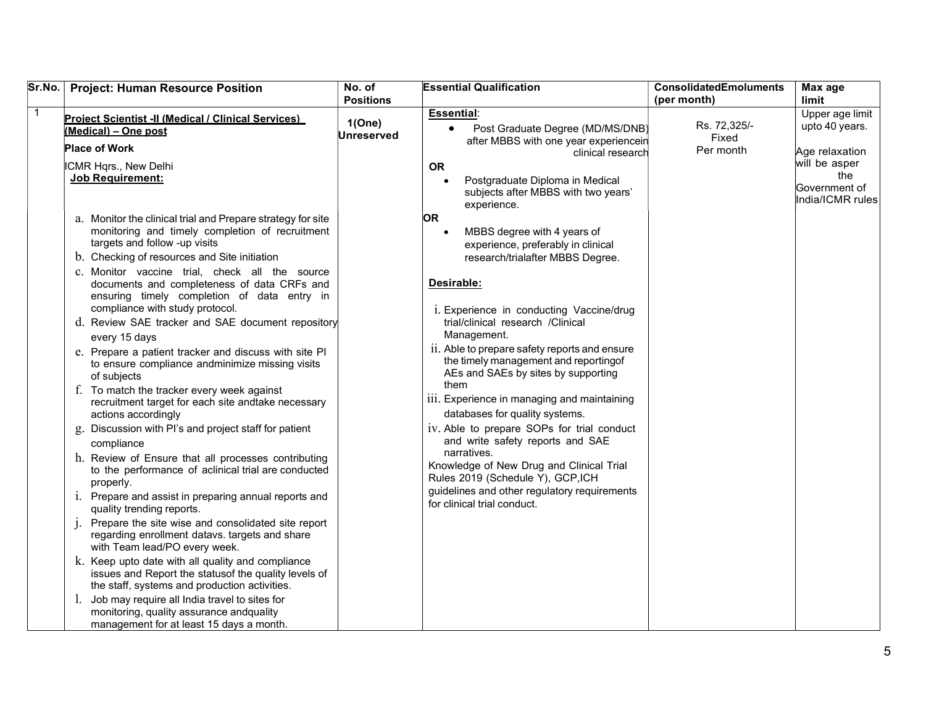| Sr.No.   Project: Human Resource Position                                                                                                                                                                                                                                                                                                                                                                                                                                                                                                                                                                                                                                                                                                                                                                                                                                                                                                                                                                                                                                                                                                                                                                                                                    | No. of<br><b>Positions</b> | <b>Essential Qualification</b>                                                                                                                                                                                                                                                                                                                                                                                                                                                                                                                                                                                                                                                                                       | <b>ConsolidatedEmoluments</b><br>(per month) | Max age<br>limit                                          |
|--------------------------------------------------------------------------------------------------------------------------------------------------------------------------------------------------------------------------------------------------------------------------------------------------------------------------------------------------------------------------------------------------------------------------------------------------------------------------------------------------------------------------------------------------------------------------------------------------------------------------------------------------------------------------------------------------------------------------------------------------------------------------------------------------------------------------------------------------------------------------------------------------------------------------------------------------------------------------------------------------------------------------------------------------------------------------------------------------------------------------------------------------------------------------------------------------------------------------------------------------------------|----------------------------|----------------------------------------------------------------------------------------------------------------------------------------------------------------------------------------------------------------------------------------------------------------------------------------------------------------------------------------------------------------------------------------------------------------------------------------------------------------------------------------------------------------------------------------------------------------------------------------------------------------------------------------------------------------------------------------------------------------------|----------------------------------------------|-----------------------------------------------------------|
| $\mathbf 1$<br>Project Scientist -II (Medical / Clinical Services)<br>(Medical) - One post<br><b>Place of Work</b>                                                                                                                                                                                                                                                                                                                                                                                                                                                                                                                                                                                                                                                                                                                                                                                                                                                                                                                                                                                                                                                                                                                                           | 1(One)<br>Unreserved       | <b>Essential:</b><br>Post Graduate Degree (MD/MS/DNB)<br>after MBBS with one year experiencein<br>clinical research                                                                                                                                                                                                                                                                                                                                                                                                                                                                                                                                                                                                  | Rs. 72,325/-<br>Fixed<br>Per month           | Upper age limit<br>upto 40 years.<br>Age relaxation       |
| ICMR Hqrs., New Delhi<br><b>Job Requirement:</b>                                                                                                                                                                                                                                                                                                                                                                                                                                                                                                                                                                                                                                                                                                                                                                                                                                                                                                                                                                                                                                                                                                                                                                                                             |                            | <b>OR</b><br>Postgraduate Diploma in Medical<br>subjects after MBBS with two years'<br>experience.                                                                                                                                                                                                                                                                                                                                                                                                                                                                                                                                                                                                                   |                                              | will be asper<br>the<br>Government of<br>India/ICMR rules |
| a. Monitor the clinical trial and Prepare strategy for site<br>monitoring and timely completion of recruitment<br>targets and follow -up visits<br>b. Checking of resources and Site initiation<br>c. Monitor vaccine trial, check all the source<br>documents and completeness of data CRFs and<br>ensuring timely completion of data entry in<br>compliance with study protocol.<br>d. Review SAE tracker and SAE document repository<br>every 15 days<br>e. Prepare a patient tracker and discuss with site PI<br>to ensure compliance andminimize missing visits<br>of subjects<br>f. To match the tracker every week against<br>recruitment target for each site andtake necessary<br>actions accordingly<br>g. Discussion with PI's and project staff for patient<br>compliance<br>h. Review of Ensure that all processes contributing<br>to the performance of aclinical trial are conducted<br>properly.<br>i. Prepare and assist in preparing annual reports and<br>quality trending reports.<br>Prepare the site wise and consolidated site report<br>regarding enrollment datavs. targets and share<br>with Team lead/PO every week.<br>k. Keep upto date with all quality and compliance<br>issues and Report the statusof the quality levels of |                            | OR.<br>MBBS degree with 4 years of<br>experience, preferably in clinical<br>research/trialafter MBBS Degree.<br>Desirable:<br>i. Experience in conducting Vaccine/drug<br>trial/clinical research /Clinical<br>Management.<br>ii. Able to prepare safety reports and ensure<br>the timely management and reportingof<br>AEs and SAEs by sites by supporting<br>them<br>iii. Experience in managing and maintaining<br>databases for quality systems.<br>iv. Able to prepare SOPs for trial conduct<br>and write safety reports and SAE<br>narratives.<br>Knowledge of New Drug and Clinical Trial<br>Rules 2019 (Schedule Y), GCP,ICH<br>guidelines and other regulatory requirements<br>for clinical trial conduct. |                                              |                                                           |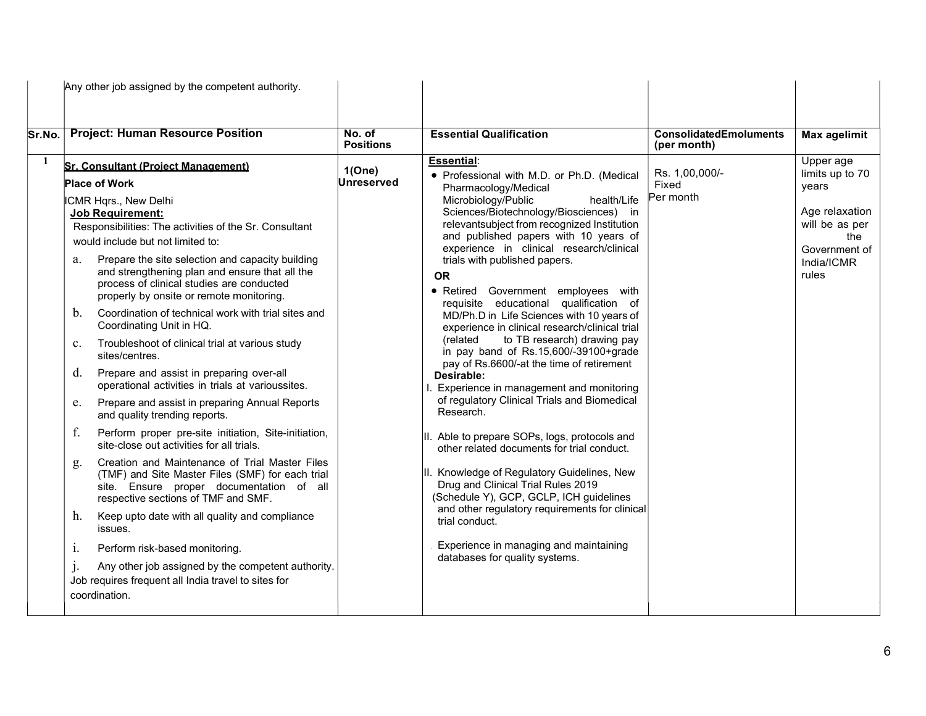|        | Any other job assigned by the competent authority.                                                                                                                                                                                                                                                                                                                                                                                                                                                                                                                                                                                                                                                                                                                                                                                                                                                                                                                                                                                                                                                                                                                                                                                                                                      |                            |                                                                                                                                                                                                                                                                                                                                                                                                                                                                                                                                                                                                                                                                                                                                                                                                                                                                                                                                                                                                                                                                                                              |                                              |                                                                                          |
|--------|-----------------------------------------------------------------------------------------------------------------------------------------------------------------------------------------------------------------------------------------------------------------------------------------------------------------------------------------------------------------------------------------------------------------------------------------------------------------------------------------------------------------------------------------------------------------------------------------------------------------------------------------------------------------------------------------------------------------------------------------------------------------------------------------------------------------------------------------------------------------------------------------------------------------------------------------------------------------------------------------------------------------------------------------------------------------------------------------------------------------------------------------------------------------------------------------------------------------------------------------------------------------------------------------|----------------------------|--------------------------------------------------------------------------------------------------------------------------------------------------------------------------------------------------------------------------------------------------------------------------------------------------------------------------------------------------------------------------------------------------------------------------------------------------------------------------------------------------------------------------------------------------------------------------------------------------------------------------------------------------------------------------------------------------------------------------------------------------------------------------------------------------------------------------------------------------------------------------------------------------------------------------------------------------------------------------------------------------------------------------------------------------------------------------------------------------------------|----------------------------------------------|------------------------------------------------------------------------------------------|
| Sr.No. | <b>Project: Human Resource Position</b>                                                                                                                                                                                                                                                                                                                                                                                                                                                                                                                                                                                                                                                                                                                                                                                                                                                                                                                                                                                                                                                                                                                                                                                                                                                 | No. of<br><b>Positions</b> | <b>Essential Qualification</b>                                                                                                                                                                                                                                                                                                                                                                                                                                                                                                                                                                                                                                                                                                                                                                                                                                                                                                                                                                                                                                                                               | <b>ConsolidatedEmoluments</b><br>(per month) | <b>Max agelimit</b>                                                                      |
| 1      | <b>Sr. Consultant (Project Management)</b>                                                                                                                                                                                                                                                                                                                                                                                                                                                                                                                                                                                                                                                                                                                                                                                                                                                                                                                                                                                                                                                                                                                                                                                                                                              | 1(One)                     | <b>Essential:</b>                                                                                                                                                                                                                                                                                                                                                                                                                                                                                                                                                                                                                                                                                                                                                                                                                                                                                                                                                                                                                                                                                            |                                              | Upper age                                                                                |
|        | <b>Place of Work</b>                                                                                                                                                                                                                                                                                                                                                                                                                                                                                                                                                                                                                                                                                                                                                                                                                                                                                                                                                                                                                                                                                                                                                                                                                                                                    | Unreserved                 | • Professional with M.D. or Ph.D. (Medical                                                                                                                                                                                                                                                                                                                                                                                                                                                                                                                                                                                                                                                                                                                                                                                                                                                                                                                                                                                                                                                                   | Rs. 1,00,000/-<br>Fixed                      | limits up to 70                                                                          |
|        | ICMR Hqrs., New Delhi<br><b>Job Requirement:</b><br>Responsibilities: The activities of the Sr. Consultant<br>would include but not limited to:<br>Prepare the site selection and capacity building<br>a.<br>and strengthening plan and ensure that all the<br>process of clinical studies are conducted<br>properly by onsite or remote monitoring.<br>Coordination of technical work with trial sites and<br>b.<br>Coordinating Unit in HQ.<br>Troubleshoot of clinical trial at various study<br>$\mathbf{c}$ .<br>sites/centres.<br>Prepare and assist in preparing over-all<br>d.<br>operational activities in trials at varioussites.<br>Prepare and assist in preparing Annual Reports<br>e.<br>and quality trending reports.<br>f.<br>Perform proper pre-site initiation, Site-initiation,<br>site-close out activities for all trials.<br>Creation and Maintenance of Trial Master Files<br>g.<br>(TMF) and Site Master Files (SMF) for each trial<br>site. Ensure proper documentation of all<br>respective sections of TMF and SMF.<br>Keep upto date with all quality and compliance<br>h.<br>issues.<br>Perform risk-based monitoring.<br>1.<br>Any other job assigned by the competent authority.<br>Job requires frequent all India travel to sites for<br>coordination. |                            | Pharmacology/Medical<br>Microbiology/Public<br>health/Life<br>Sciences/Biotechnology/Biosciences) in<br>relevantsubject from recognized Institution<br>and published papers with 10 years of<br>experience in clinical research/clinical<br>trials with published papers.<br><b>OR</b><br>· Retired Government employees with<br>requisite educational qualification of<br>MD/Ph.D in Life Sciences with 10 years of<br>experience in clinical research/clinical trial<br>to TB research) drawing pay<br>(related<br>in pay band of Rs.15,600/-39100+grade<br>pay of Rs.6600/-at the time of retirement<br>Desirable:<br>Experience in management and monitoring<br>of regulatory Clinical Trials and Biomedical<br>Research.<br>II. Able to prepare SOPs, logs, protocols and<br>other related documents for trial conduct.<br>II. Knowledge of Regulatory Guidelines, New<br>Drug and Clinical Trial Rules 2019<br>(Schedule Y), GCP, GCLP, ICH guidelines<br>and other regulatory requirements for clinical<br>trial conduct.<br>Experience in managing and maintaining<br>databases for quality systems. | Per month                                    | years<br>Age relaxation<br>will be as per<br>the<br>Government of<br>India/ICMR<br>rules |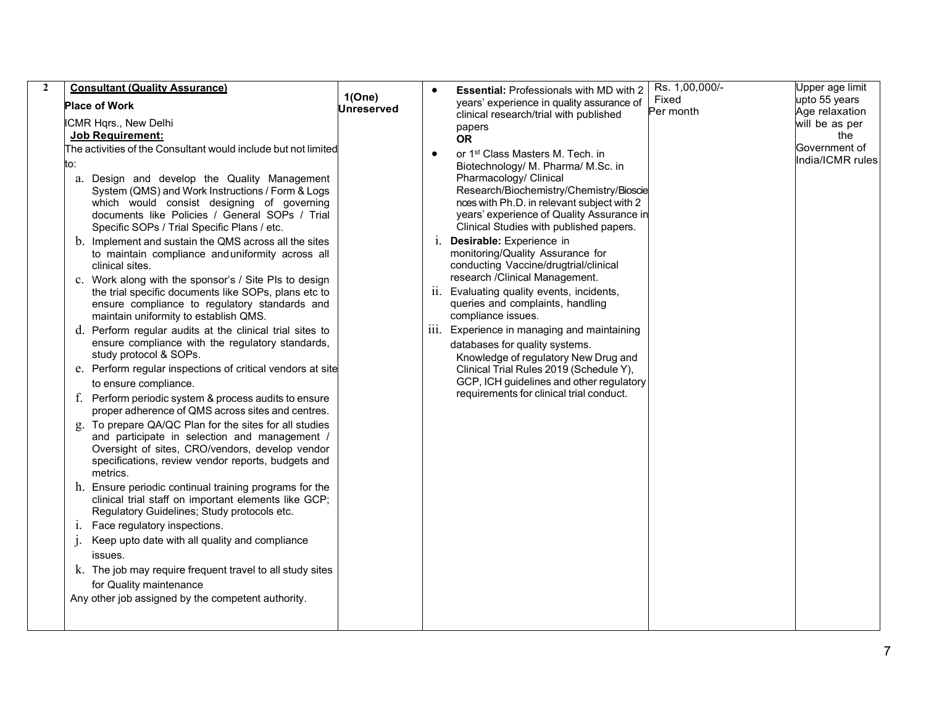| 1(One)                                                                                                                                                                                                                                                                                                                                                                                                                                                                                                                                                                                                                                                                                                                                                                                                                                                                                                                                                                                                                                                                                                                                                                                                                                                                                                                                                                                                                                                                                                                                                                                                                                                                                                                                                                                                                                                                                                                                                                                                                                                                                                                                                                                                                                                                                                                                                                                                                                                                                                                                                                                                                                                                                                                              | Upper age limit |
|-------------------------------------------------------------------------------------------------------------------------------------------------------------------------------------------------------------------------------------------------------------------------------------------------------------------------------------------------------------------------------------------------------------------------------------------------------------------------------------------------------------------------------------------------------------------------------------------------------------------------------------------------------------------------------------------------------------------------------------------------------------------------------------------------------------------------------------------------------------------------------------------------------------------------------------------------------------------------------------------------------------------------------------------------------------------------------------------------------------------------------------------------------------------------------------------------------------------------------------------------------------------------------------------------------------------------------------------------------------------------------------------------------------------------------------------------------------------------------------------------------------------------------------------------------------------------------------------------------------------------------------------------------------------------------------------------------------------------------------------------------------------------------------------------------------------------------------------------------------------------------------------------------------------------------------------------------------------------------------------------------------------------------------------------------------------------------------------------------------------------------------------------------------------------------------------------------------------------------------------------------------------------------------------------------------------------------------------------------------------------------------------------------------------------------------------------------------------------------------------------------------------------------------------------------------------------------------------------------------------------------------------------------------------------------------------------------------------------------------|-----------------|
| upto 55 years<br>Fixed<br>years' experience in quality assurance of<br><b>Place of Work</b><br>Unreserved                                                                                                                                                                                                                                                                                                                                                                                                                                                                                                                                                                                                                                                                                                                                                                                                                                                                                                                                                                                                                                                                                                                                                                                                                                                                                                                                                                                                                                                                                                                                                                                                                                                                                                                                                                                                                                                                                                                                                                                                                                                                                                                                                                                                                                                                                                                                                                                                                                                                                                                                                                                                                           |                 |
| Age relaxation<br>Per month<br>clinical research/trial with published<br>ICMR Hqrs., New Delhi<br>will be as per<br>papers<br><b>Job Requirement:</b><br>the<br><b>OR</b><br>Government of<br>The activities of the Consultant would include but not limited<br>or 1 <sup>st</sup> Class Masters M. Tech. in<br>India/ICMR rules<br>to:<br>Biotechnology/ M. Pharma/ M.Sc. in<br>Pharmacology/ Clinical<br>a. Design and develop the Quality Management<br>Research/Biochemistry/Chemistry/Bioscie<br>System (QMS) and Work Instructions / Form & Logs<br>nces with Ph.D. in relevant subject with 2<br>which would consist designing of governing<br>years' experience of Quality Assurance in<br>documents like Policies / General SOPs / Trial<br>Clinical Studies with published papers.<br>Specific SOPs / Trial Specific Plans / etc.<br>Desirable: Experience in<br>b. Implement and sustain the QMS across all the sites<br>1.<br>monitoring/Quality Assurance for<br>to maintain compliance and uniformity across all<br>conducting Vaccine/drugtrial/clinical<br>clinical sites.<br>research / Clinical Management.<br>c. Work along with the sponsor's / Site PIs to design<br>the trial specific documents like SOPs, plans etc to<br>Evaluating quality events, incidents,<br>11.<br>queries and complaints, handling<br>ensure compliance to regulatory standards and<br>compliance issues.<br>maintain uniformity to establish QMS.<br>Experience in managing and maintaining<br>d. Perform regular audits at the clinical trial sites to<br>111.<br>ensure compliance with the regulatory standards,<br>databases for quality systems.<br>study protocol & SOPs.<br>Knowledge of regulatory New Drug and<br>e. Perform regular inspections of critical vendors at site<br>Clinical Trial Rules 2019 (Schedule Y),<br>GCP, ICH guidelines and other regulatory<br>to ensure compliance.<br>requirements for clinical trial conduct.<br>Perform periodic system & process audits to ensure<br>f.<br>proper adherence of QMS across sites and centres.<br>To prepare QA/QC Plan for the sites for all studies<br>g.<br>and participate in selection and management /<br>Oversight of sites, CRO/vendors, develop vendor<br>specifications, review vendor reports, budgets and<br>metrics.<br>h. Ensure periodic continual training programs for the<br>clinical trial staff on important elements like GCP;<br>Regulatory Guidelines; Study protocols etc.<br>Face regulatory inspections.<br>1.<br>Keep upto date with all quality and compliance<br>$\cdot$<br>issues.<br>k. The job may require frequent travel to all study sites<br>for Quality maintenance<br>Any other job assigned by the competent authority. |                 |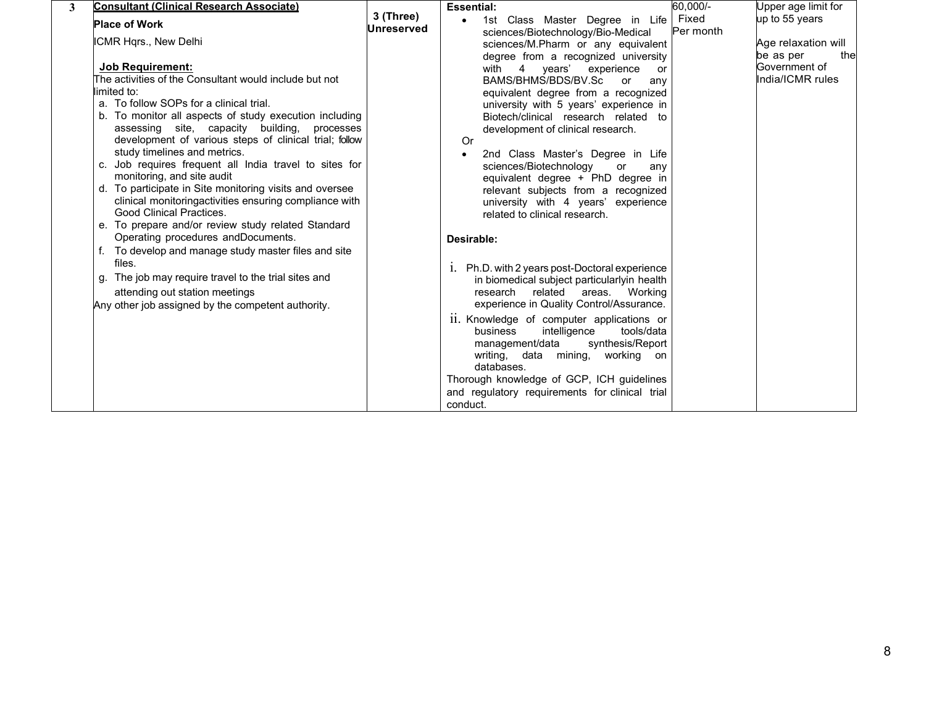| 3                          | <b>Consultant (Clinical Research Associate)</b>                                                                                                                                                                                                            |                                | <b>Essential:</b> |                                                                                                                                                                                            | 60,000/-  | Upper age limit for                     |  |
|----------------------------|------------------------------------------------------------------------------------------------------------------------------------------------------------------------------------------------------------------------------------------------------------|--------------------------------|-------------------|--------------------------------------------------------------------------------------------------------------------------------------------------------------------------------------------|-----------|-----------------------------------------|--|
| <b>Place of Work</b>       |                                                                                                                                                                                                                                                            | 3 (Three)<br><b>Unreserved</b> |                   | 1st Class Master Degree in Life   Fixed<br>sciences/Biotechnology/Bio-Medical                                                                                                              | Per month | up to 55 years                          |  |
| ICMR Hqrs., New Delhi      |                                                                                                                                                                                                                                                            |                                |                   | sciences/M.Pharm or any equivalent<br>degree from a recognized university                                                                                                                  |           | Age relaxation will<br>be as per<br>the |  |
| <b>Job Requirement:</b>    |                                                                                                                                                                                                                                                            |                                |                   | with 4 years' experience or                                                                                                                                                                |           | Government of                           |  |
|                            | The activities of the Consultant would include but not                                                                                                                                                                                                     |                                |                   | BAMS/BHMS/BDS/BV.Sc or<br>any                                                                                                                                                              |           | India/ICMR rules                        |  |
| limited to:                |                                                                                                                                                                                                                                                            |                                |                   | equivalent degree from a recognized                                                                                                                                                        |           |                                         |  |
|                            | a. To follow SOPs for a clinical trial.                                                                                                                                                                                                                    |                                |                   | university with 5 years' experience in                                                                                                                                                     |           |                                         |  |
| monitoring, and site audit | b. To monitor all aspects of study execution including<br>assessing site, capacity building, processes<br>development of various steps of clinical trial; follow<br>study timelines and metrics.<br>c. Job requires frequent all India travel to sites for |                                | Or                | Biotech/clinical research related to<br>development of clinical research.<br>2nd Class Master's Degree in Life<br>sciences/Biotechnology<br>or<br>any<br>equivalent degree + PhD degree in |           |                                         |  |
| Good Clinical Practices.   | d. To participate in Site monitoring visits and oversee<br>clinical monitoringactivities ensuring compliance with<br>e. To prepare and/or review study related Standard                                                                                    |                                |                   | relevant subjects from a recognized<br>university with 4 years' experience<br>related to clinical research.                                                                                |           |                                         |  |
| files.                     | Operating procedures andDocuments.<br>f. To develop and manage study master files and site                                                                                                                                                                 |                                | Desirable:        |                                                                                                                                                                                            |           |                                         |  |
|                            | g. The job may require travel to the trial sites and<br>attending out station meetings                                                                                                                                                                     |                                |                   | 1. Ph.D. with 2 years post-Doctoral experience<br>in biomedical subject particularlyin health<br>research related areas. Working                                                           |           |                                         |  |
|                            | Any other job assigned by the competent authority.                                                                                                                                                                                                         |                                |                   | experience in Quality Control/Assurance.                                                                                                                                                   |           |                                         |  |
|                            |                                                                                                                                                                                                                                                            |                                |                   | 11. Knowledge of computer applications or<br>tools/data<br>business<br>intelligence<br>synthesis/Report<br>management/data<br>writing, data mining, working on<br>databases.               |           |                                         |  |
|                            |                                                                                                                                                                                                                                                            |                                |                   | Thorough knowledge of GCP, ICH guidelines                                                                                                                                                  |           |                                         |  |
|                            |                                                                                                                                                                                                                                                            |                                | conduct.          | and regulatory requirements for clinical trial                                                                                                                                             |           |                                         |  |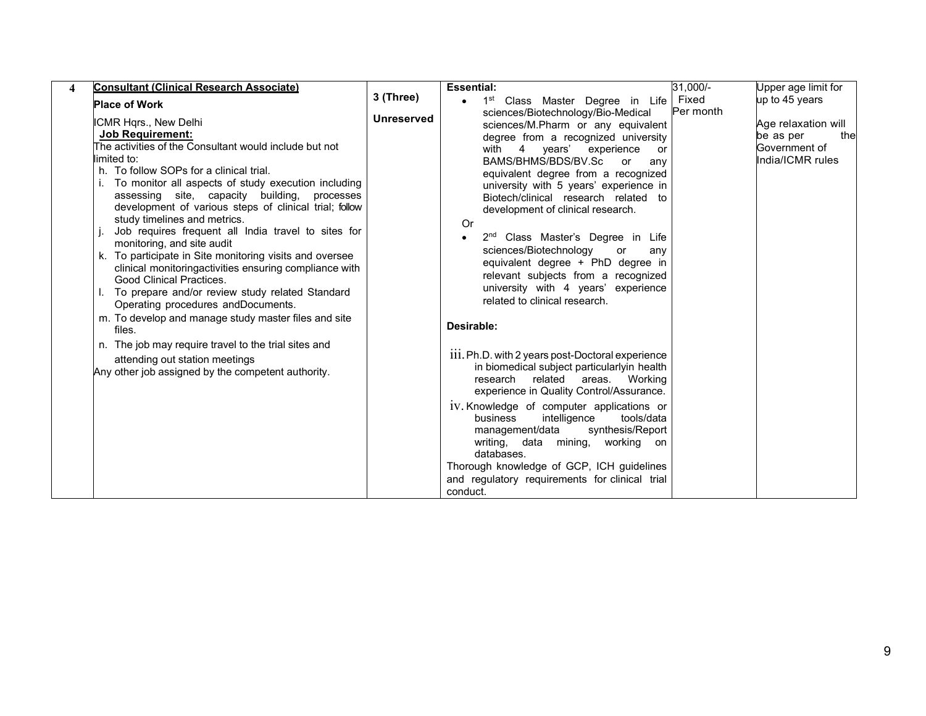| <b>Consultant (Clinical Research Associate)</b>                                                                                                                                                                                                                                                                                                                                                                                                                                                                                                                                                                                                                                                                                                                                                                                                                                                                           |                   | 31,000/-<br><b>Essential:</b>                                                                                                                                                                                                                                                                                                                                                                                                                                                                                                                                                                                                                                                                                                                                                                                                                                                                                                                                                                                                                                                                    | Upper age limit for                                                          |
|---------------------------------------------------------------------------------------------------------------------------------------------------------------------------------------------------------------------------------------------------------------------------------------------------------------------------------------------------------------------------------------------------------------------------------------------------------------------------------------------------------------------------------------------------------------------------------------------------------------------------------------------------------------------------------------------------------------------------------------------------------------------------------------------------------------------------------------------------------------------------------------------------------------------------|-------------------|--------------------------------------------------------------------------------------------------------------------------------------------------------------------------------------------------------------------------------------------------------------------------------------------------------------------------------------------------------------------------------------------------------------------------------------------------------------------------------------------------------------------------------------------------------------------------------------------------------------------------------------------------------------------------------------------------------------------------------------------------------------------------------------------------------------------------------------------------------------------------------------------------------------------------------------------------------------------------------------------------------------------------------------------------------------------------------------------------|------------------------------------------------------------------------------|
| <b>Place of Work</b>                                                                                                                                                                                                                                                                                                                                                                                                                                                                                                                                                                                                                                                                                                                                                                                                                                                                                                      | 3 (Three)         | • 1 <sup>st</sup> Class Master Degree in Life Fixed<br>Per month                                                                                                                                                                                                                                                                                                                                                                                                                                                                                                                                                                                                                                                                                                                                                                                                                                                                                                                                                                                                                                 | up to 45 years                                                               |
| ICMR Hqrs., New Delhi<br><b>Job Requirement:</b><br>The activities of the Consultant would include but not<br>limited to:<br>h. To follow SOPs for a clinical trial.<br>i. To monitor all aspects of study execution including<br>assessing site, capacity building, processes<br>development of various steps of clinical trial; follow<br>study timelines and metrics.<br>Job requires frequent all India travel to sites for<br>monitoring, and site audit<br>k. To participate in Site monitoring visits and oversee<br>clinical monitoringactivities ensuring compliance with<br>Good Clinical Practices.<br>To prepare and/or review study related Standard<br>Operating procedures andDocuments.<br>m. To develop and manage study master files and site<br>files.<br>n. The job may require travel to the trial sites and<br>attending out station meetings<br>Any other job assigned by the competent authority. | <b>Unreserved</b> | sciences/Biotechnology/Bio-Medical<br>sciences/M.Pharm or any equivalent<br>degree from a recognized university<br>with 4 years' experience<br>or<br>BAMS/BHMS/BDS/BV.Sc<br>or<br>any<br>equivalent degree from a recognized<br>university with 5 years' experience in<br>Biotech/clinical research related to<br>development of clinical research.<br>Or<br>2 <sup>nd</sup> Class Master's Degree in Life<br>sciences/Biotechnology<br>or<br>any<br>equivalent degree + PhD degree in<br>relevant subjects from a recognized<br>university with 4 years' experience<br>related to clinical research.<br>Desirable:<br>111. Ph.D. with 2 years post-Doctoral experience<br>in biomedical subject particularlyin health<br>research related areas. Working<br>experience in Quality Control/Assurance.<br>1V. Knowledge of computer applications or<br>intelligence<br>tools/data<br>business<br>management/data<br>synthesis/Report<br>writing, data mining, working on<br>databases.<br>Thorough knowledge of GCP, ICH guidelines<br>and regulatory requirements for clinical trial<br>conduct. | Age relaxation will<br>the<br>be as per<br>Government of<br>India/ICMR rules |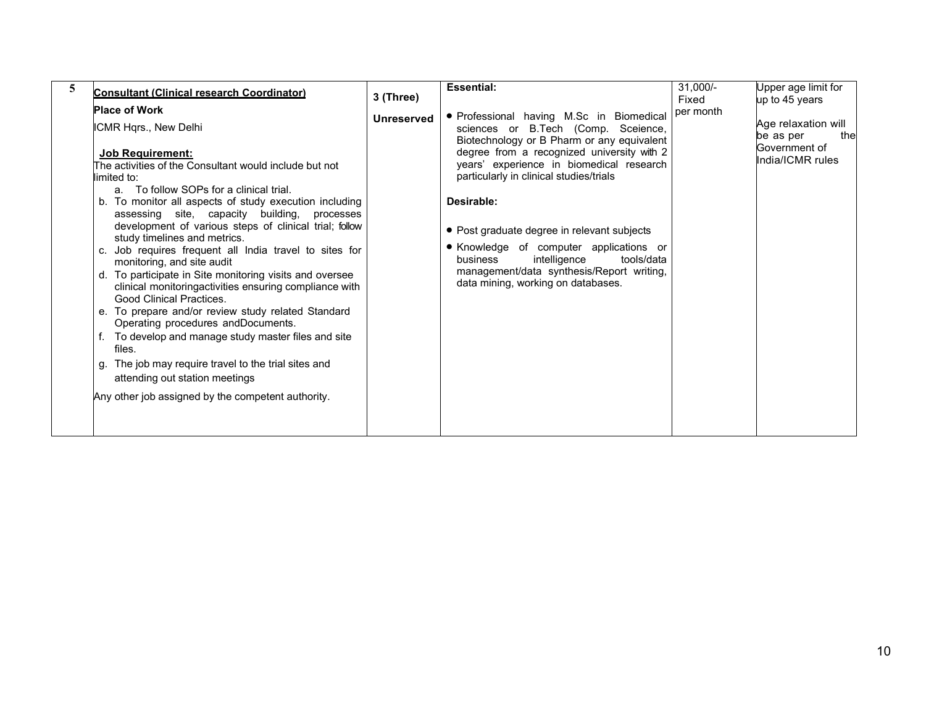| <b>Consultant (Clinical research Coordinator)</b>                                                                                                                                                                                                                                                                                                                                                                                                                                                                                                                                                                                                                                                                                                                                                                                                                                                                                                    | 3 (Three)         | <b>Essential:</b>                                                                                                                                                                                                                                                                                                                                                                                                                                                                                          | $31,000/-$<br>Fixed | Upper age limit for<br>up to 45 years                                        |
|------------------------------------------------------------------------------------------------------------------------------------------------------------------------------------------------------------------------------------------------------------------------------------------------------------------------------------------------------------------------------------------------------------------------------------------------------------------------------------------------------------------------------------------------------------------------------------------------------------------------------------------------------------------------------------------------------------------------------------------------------------------------------------------------------------------------------------------------------------------------------------------------------------------------------------------------------|-------------------|------------------------------------------------------------------------------------------------------------------------------------------------------------------------------------------------------------------------------------------------------------------------------------------------------------------------------------------------------------------------------------------------------------------------------------------------------------------------------------------------------------|---------------------|------------------------------------------------------------------------------|
| <b>Place of Work</b><br>ICMR Hqrs., New Delhi<br><b>Job Requirement:</b><br>The activities of the Consultant would include but not<br>limited to:<br>a. To follow SOPs for a clinical trial.<br>b. To monitor all aspects of study execution including<br>assessing site, capacity building, processes<br>development of various steps of clinical trial; follow<br>study timelines and metrics.<br>c. Job requires frequent all India travel to sites for<br>monitoring, and site audit<br>d. To participate in Site monitoring visits and oversee<br>clinical monitoringactivities ensuring compliance with<br>Good Clinical Practices.<br>e. To prepare and/or review study related Standard<br>Operating procedures andDocuments.<br>To develop and manage study master files and site<br>files.<br>g. The job may require travel to the trial sites and<br>attending out station meetings<br>Any other job assigned by the competent authority. | <b>Unreserved</b> | · Professional having M.Sc in Biomedical<br>B.Tech (Comp. Sceience,<br>sciences or<br>Biotechnology or B Pharm or any equivalent<br>degree from a recognized university with 2<br>years' experience in biomedical research<br>particularly in clinical studies/trials<br>Desirable:<br>• Post graduate degree in relevant subjects<br>• Knowledge of computer applications or<br>intelligence<br>business<br>tools/data<br>management/data synthesis/Report writing,<br>data mining, working on databases. | per month           | Age relaxation will<br>be as per<br>the<br>Government of<br>India/ICMR rules |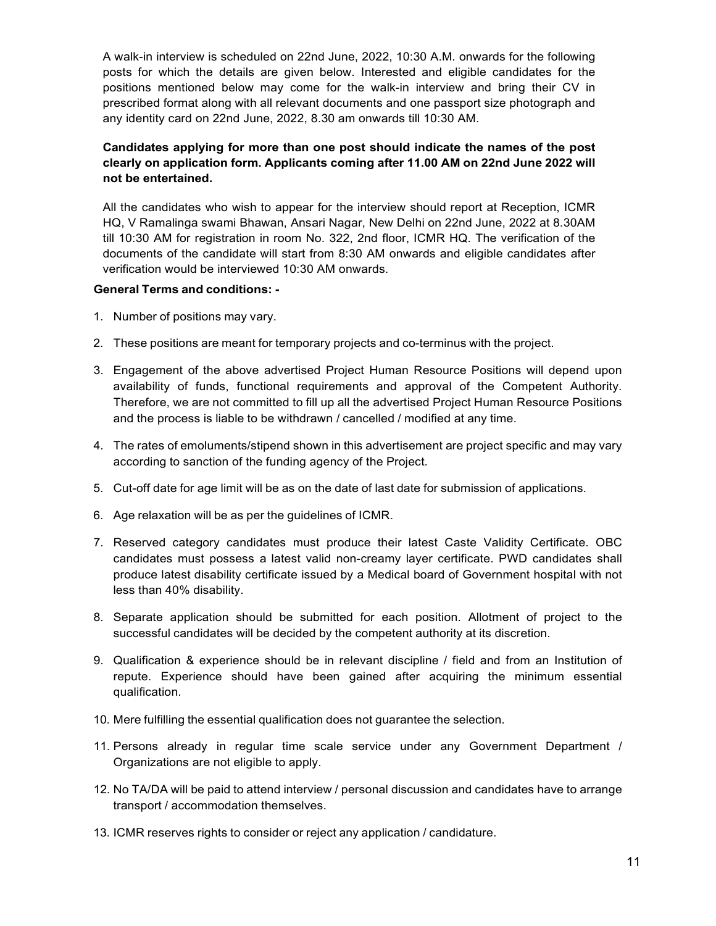A walk-in interview is scheduled on 22nd June, 2022, 10:30 A.M. onwards for the following posts for which the details are given below. Interested and eligible candidates for the positions mentioned below may come for the walk-in interview and bring their CV in prescribed format along with all relevant documents and one passport size photograph and any identity card on 22nd June, 2022, 8.30 am onwards till 10:30 AM.

# Candidates applying for more than one post should indicate the names of the post clearly on application form. Applicants coming after 11.00 AM on 22nd June 2022 will not be entertained.

All the candidates who wish to appear for the interview should report at Reception, ICMR HQ, V Ramalinga swami Bhawan, Ansari Nagar, New Delhi on 22nd June, 2022 at 8.30AM till 10:30 AM for registration in room No. 322, 2nd floor, ICMR HQ. The verification of the documents of the candidate will start from 8:30 AM onwards and eligible candidates after verification would be interviewed 10:30 AM onwards.

# General Terms and conditions: -

- 1. Number of positions may vary.
- 2. These positions are meant for temporary projects and co-terminus with the project.
- 3. Engagement of the above advertised Project Human Resource Positions will depend upon availability of funds, functional requirements and approval of the Competent Authority. Therefore, we are not committed to fill up all the advertised Project Human Resource Positions and the process is liable to be withdrawn / cancelled / modified at any time.
- 4. The rates of emoluments/stipend shown in this advertisement are project specific and may vary according to sanction of the funding agency of the Project.
- 5. Cut-off date for age limit will be as on the date of last date for submission of applications.
- 6. Age relaxation will be as per the guidelines of ICMR.
- 7. Reserved category candidates must produce their latest Caste Validity Certificate. OBC candidates must possess a latest valid non-creamy layer certificate. PWD candidates shall produce latest disability certificate issued by a Medical board of Government hospital with not less than 40% disability.
- 8. Separate application should be submitted for each position. Allotment of project to the successful candidates will be decided by the competent authority at its discretion.
- 9. Qualification & experience should be in relevant discipline / field and from an Institution of repute. Experience should have been gained after acquiring the minimum essential qualification.
- 10. Mere fulfilling the essential qualification does not guarantee the selection.
- 11. Persons already in regular time scale service under any Government Department / Organizations are not eligible to apply.
- 12. No TA/DA will be paid to attend interview / personal discussion and candidates have to arrange transport / accommodation themselves.
- 13. ICMR reserves rights to consider or reject any application / candidature.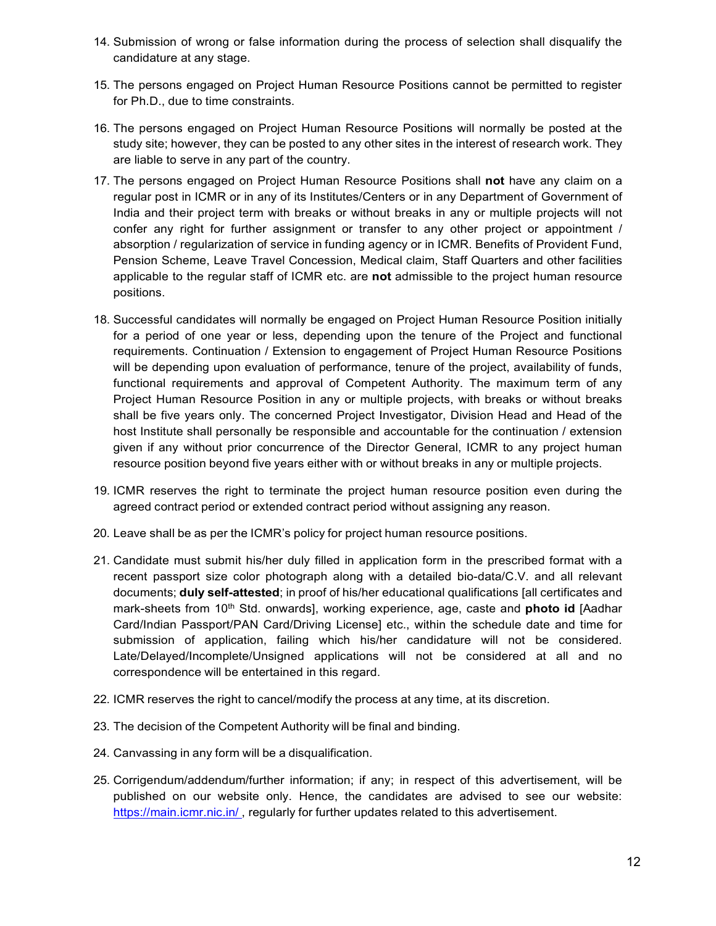- 14. Submission of wrong or false information during the process of selection shall disqualify the candidature at any stage.
- 15. The persons engaged on Project Human Resource Positions cannot be permitted to register for Ph.D., due to time constraints.
- 16. The persons engaged on Project Human Resource Positions will normally be posted at the study site; however, they can be posted to any other sites in the interest of research work. They are liable to serve in any part of the country.
- 17. The persons engaged on Project Human Resource Positions shall not have any claim on a regular post in ICMR or in any of its Institutes/Centers or in any Department of Government of India and their project term with breaks or without breaks in any or multiple projects will not confer any right for further assignment or transfer to any other project or appointment / absorption / regularization of service in funding agency or in ICMR. Benefits of Provident Fund, Pension Scheme, Leave Travel Concession, Medical claim, Staff Quarters and other facilities applicable to the regular staff of ICMR etc. are not admissible to the project human resource positions.
- 18. Successful candidates will normally be engaged on Project Human Resource Position initially for a period of one year or less, depending upon the tenure of the Project and functional requirements. Continuation / Extension to engagement of Project Human Resource Positions will be depending upon evaluation of performance, tenure of the project, availability of funds, functional requirements and approval of Competent Authority. The maximum term of any Project Human Resource Position in any or multiple projects, with breaks or without breaks shall be five years only. The concerned Project Investigator, Division Head and Head of the host Institute shall personally be responsible and accountable for the continuation / extension given if any without prior concurrence of the Director General, ICMR to any project human resource position beyond five years either with or without breaks in any or multiple projects.
- 19. ICMR reserves the right to terminate the project human resource position even during the agreed contract period or extended contract period without assigning any reason.
- 20. Leave shall be as per the ICMR's policy for project human resource positions.
- 21. Candidate must submit his/her duly filled in application form in the prescribed format with a recent passport size color photograph along with a detailed bio-data/C.V. and all relevant documents; duly self-attested; in proof of his/her educational qualifications [all certificates and mark-sheets from 10<sup>th</sup> Std. onwards], working experience, age, caste and **photo id** [Aadhar Card/Indian Passport/PAN Card/Driving License] etc., within the schedule date and time for submission of application, failing which his/her candidature will not be considered. Late/Delayed/Incomplete/Unsigned applications will not be considered at all and no correspondence will be entertained in this regard.
- 22. ICMR reserves the right to cancel/modify the process at any time, at its discretion.
- 23. The decision of the Competent Authority will be final and binding.
- 24. Canvassing in any form will be a disqualification.
- 25. Corrigendum/addendum/further information; if any; in respect of this advertisement, will be published on our website only. Hence, the candidates are advised to see our website: https://main.icmr.nic.in/, regularly for further updates related to this advertisement.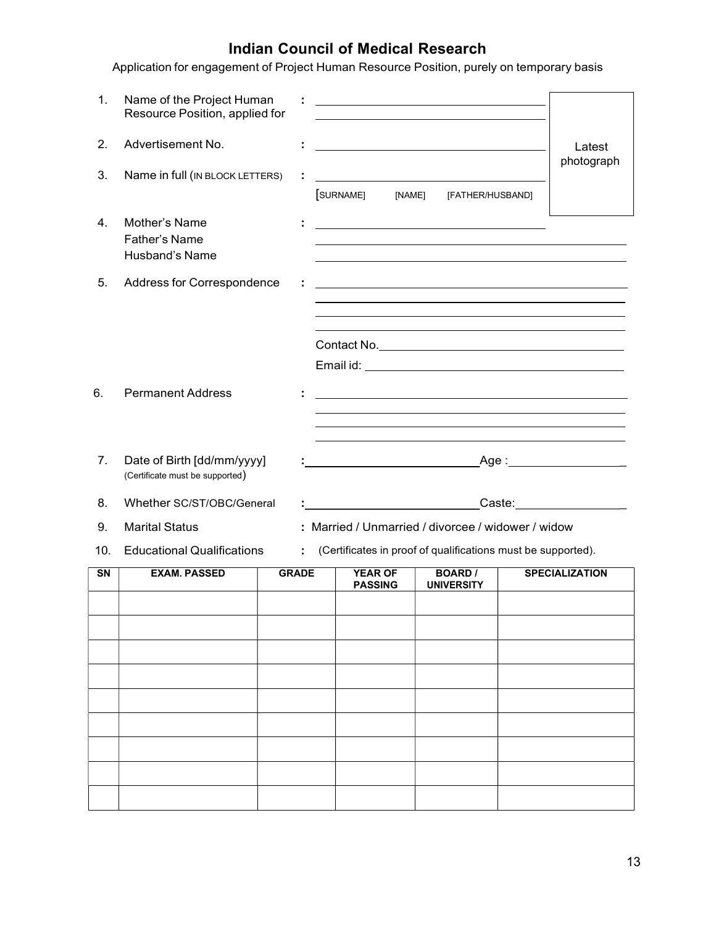# Indian Council of Medical Research

Application for engagement of Project Human Resource Position, purely on temporary basis

| 1.                     | Name of the Project Human<br>Resource Position, applied for   |              |                                                                      | the control of the control of the control of the control of the control of the control of                                                                                                                                     |                                                                                                                                                                                                                                                                            |
|------------------------|---------------------------------------------------------------|--------------|----------------------------------------------------------------------|-------------------------------------------------------------------------------------------------------------------------------------------------------------------------------------------------------------------------------|----------------------------------------------------------------------------------------------------------------------------------------------------------------------------------------------------------------------------------------------------------------------------|
| 2.                     | Advertisement No.                                             | ÷.           |                                                                      | <u> 1989 - Johann Barn, mars ann an t-Amhain Aonaich an t-Aonaich an t-Aonaich an t-Aonaich an t-Aonaich an t-Aon</u>                                                                                                         | Latest<br>photograph                                                                                                                                                                                                                                                       |
| 3.                     | Name in full (IN BLOCK LETTERS)                               |              | SURNAME]                                                             | [NAME] [FATHER/HUSBAND]                                                                                                                                                                                                       |                                                                                                                                                                                                                                                                            |
| 4.                     | Mother's Name<br>Father's Name<br>Husband's Name              |              |                                                                      | <u> 1989 - Johann Stoff, Amerikaansk politiker († 1908)</u>                                                                                                                                                                   |                                                                                                                                                                                                                                                                            |
| 5.                     | Address for Correspondence                                    |              |                                                                      |                                                                                                                                                                                                                               |                                                                                                                                                                                                                                                                            |
| 6.                     | <b>Permanent Address</b>                                      |              |                                                                      | the control of the control of the control of the control of the control of the control of the control of the control of the control of the control of the control of the control of the control of the control of the control | <u> 1989 - Johann Barbara, martxa alemaniar amerikan a</u>                                                                                                                                                                                                                 |
| 7.                     | Date of Birth [dd/mm/yyyy]<br>(Certificate must be supported) |              | <u> 1989 - Johann Barbara, martxa a shekara 1980 - An tsarinin A</u> |                                                                                                                                                                                                                               | <u> 1989 - Andrea Santa Andrea Andrea Andrea Andrea Andrea Andrea Andrea Andrea Andrea Andrea Andrea Andrea Andr</u><br><u> 1989 - Andrea Santa Andrea Santa Andrea Santa Andrea Santa Andrea Santa Andrea Santa Andrea Santa Andrea San</u><br>_Age :____________________ |
| 8.                     | Whether SC/ST/OBC/General                                     |              |                                                                      |                                                                                                                                                                                                                               | Caste: <b>Caste</b>                                                                                                                                                                                                                                                        |
| 9.                     | <b>Marital Status</b>                                         |              |                                                                      | : Married / Unmarried / divorcee / widower / widow                                                                                                                                                                            |                                                                                                                                                                                                                                                                            |
| 10.                    | <b>Educational Qualifications</b>                             | ÷.           |                                                                      |                                                                                                                                                                                                                               | (Certificates in proof of qualifications must be supported).                                                                                                                                                                                                               |
| $\overline{\text{SN}}$ | <b>EXAM. PASSED</b>                                           | <b>GRADE</b> | <b>YEAR OF</b><br><b>PASSING</b>                                     | <b>BOARD</b> /<br><b>UNIVERSITY</b>                                                                                                                                                                                           | <b>SPECIALIZATION</b>                                                                                                                                                                                                                                                      |
|                        |                                                               |              |                                                                      |                                                                                                                                                                                                                               |                                                                                                                                                                                                                                                                            |
|                        |                                                               |              |                                                                      |                                                                                                                                                                                                                               |                                                                                                                                                                                                                                                                            |
|                        |                                                               |              |                                                                      |                                                                                                                                                                                                                               |                                                                                                                                                                                                                                                                            |
|                        |                                                               |              |                                                                      |                                                                                                                                                                                                                               |                                                                                                                                                                                                                                                                            |
|                        |                                                               |              |                                                                      |                                                                                                                                                                                                                               |                                                                                                                                                                                                                                                                            |
|                        |                                                               |              |                                                                      |                                                                                                                                                                                                                               |                                                                                                                                                                                                                                                                            |
|                        |                                                               |              |                                                                      |                                                                                                                                                                                                                               |                                                                                                                                                                                                                                                                            |
|                        |                                                               |              |                                                                      |                                                                                                                                                                                                                               |                                                                                                                                                                                                                                                                            |